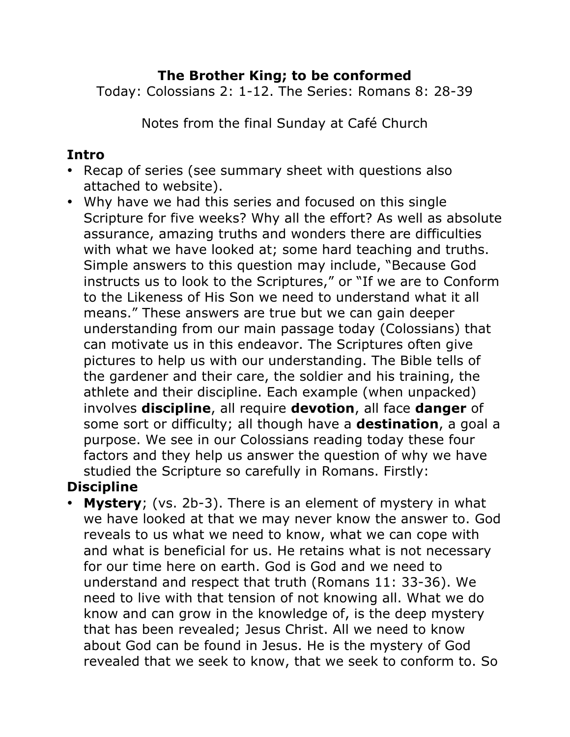### **The Brother King; to be conformed**

Today: Colossians 2: 1-12. The Series: Romans 8: 28-39

Notes from the final Sunday at Café Church

#### **Intro**

- Recap of series (see summary sheet with questions also attached to website).
- Why have we had this series and focused on this single Scripture for five weeks? Why all the effort? As well as absolute assurance, amazing truths and wonders there are difficulties with what we have looked at; some hard teaching and truths. Simple answers to this question may include, "Because God instructs us to look to the Scriptures," or "If we are to Conform to the Likeness of His Son we need to understand what it all means." These answers are true but we can gain deeper understanding from our main passage today (Colossians) that can motivate us in this endeavor. The Scriptures often give pictures to help us with our understanding. The Bible tells of the gardener and their care, the soldier and his training, the athlete and their discipline. Each example (when unpacked) involves **discipline**, all require **devotion**, all face **danger** of some sort or difficulty; all though have a **destination**, a goal a purpose. We see in our Colossians reading today these four factors and they help us answer the question of why we have studied the Scripture so carefully in Romans. Firstly:

## **Discipline**

**Mystery**; (vs. 2b-3). There is an element of mystery in what we have looked at that we may never know the answer to. God reveals to us what we need to know, what we can cope with and what is beneficial for us. He retains what is not necessary for our time here on earth. God is God and we need to understand and respect that truth (Romans 11: 33-36). We need to live with that tension of not knowing all. What we do know and can grow in the knowledge of, is the deep mystery that has been revealed; Jesus Christ. All we need to know about God can be found in Jesus. He is the mystery of God revealed that we seek to know, that we seek to conform to. So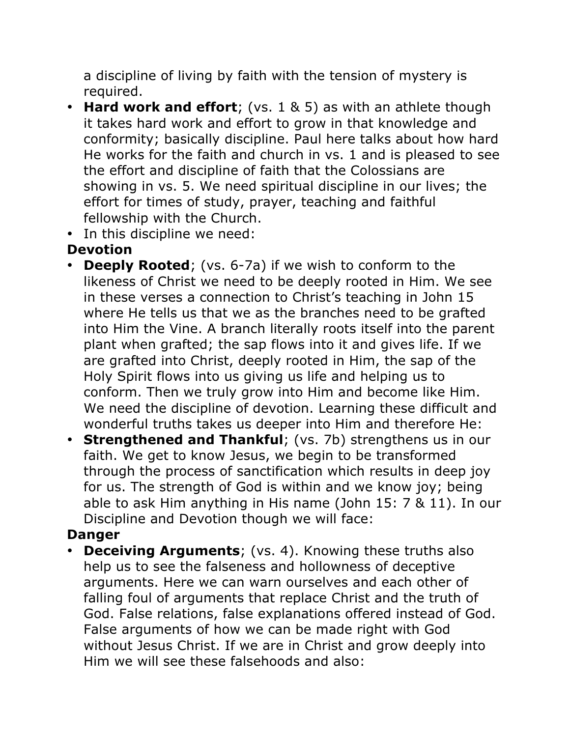a discipline of living by faith with the tension of mystery is required.

- **Hard work and effort**; (vs. 1 & 5) as with an athlete though it takes hard work and effort to grow in that knowledge and conformity; basically discipline. Paul here talks about how hard He works for the faith and church in vs. 1 and is pleased to see the effort and discipline of faith that the Colossians are showing in vs. 5. We need spiritual discipline in our lives; the effort for times of study, prayer, teaching and faithful fellowship with the Church.
- In this discipline we need:

## **Devotion**

- **Deeply Rooted**; (vs. 6-7a) if we wish to conform to the likeness of Christ we need to be deeply rooted in Him. We see in these verses a connection to Christ's teaching in John 15 where He tells us that we as the branches need to be grafted into Him the Vine. A branch literally roots itself into the parent plant when grafted; the sap flows into it and gives life. If we are grafted into Christ, deeply rooted in Him, the sap of the Holy Spirit flows into us giving us life and helping us to conform. Then we truly grow into Him and become like Him. We need the discipline of devotion. Learning these difficult and wonderful truths takes us deeper into Him and therefore He:
- **Strengthened and Thankful**; (vs. 7b) strengthens us in our faith. We get to know Jesus, we begin to be transformed through the process of sanctification which results in deep joy for us. The strength of God is within and we know joy; being able to ask Him anything in His name (John 15: 7 & 11). In our Discipline and Devotion though we will face:

## **Danger**

• **Deceiving Arguments**; (vs. 4). Knowing these truths also help us to see the falseness and hollowness of deceptive arguments. Here we can warn ourselves and each other of falling foul of arguments that replace Christ and the truth of God. False relations, false explanations offered instead of God. False arguments of how we can be made right with God without Jesus Christ. If we are in Christ and grow deeply into Him we will see these falsehoods and also: